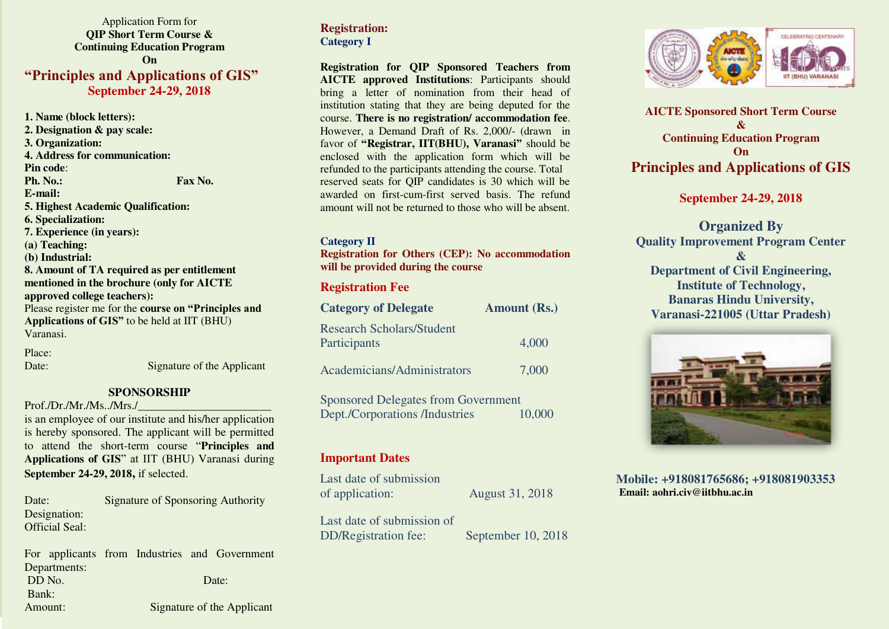Application Form for **QIP Short Term Course & Continuing Education Program On "Principles and Applications of GIS" September 24-29, 2018** 

**1. Name (block letters): 2. Designation & pay scale: 3. Organization: 4. Address for communication: Pin code**: **Ph. No.: Fax No. Fax No. E-mail: 5. Highest Academic Qualification: 6. Specialization: 7. Experience (in years): (a) Teaching: (b) Industrial: 8. Amount of TA required as per entitlement mentioned in the brochure (only for AICTE approved college teachers):**  Please register me for the **course on "Principles and Applications of GIS"** to be held at IIT (BHU) Varanasi.

Place:<br>Date:

Signature of the Applicant

#### **SPONSORSHIP**

Prof./Dr./Mr./Ms../Mrs./

is an employee of our institute and his/her application is hereby sponsored. The applicant will be permitted to attend the short-term course "**Principles and Applications of GIS**" at IIT (BHU) Varanasi during **September 24-29, 2018,** if selected.

Date: Signature of Sponsoring Authority Designation: Official Seal:

For applicants from Industries and Government Departments: DD No. Date: Bank: Amount: Signature of the Applicant

# **Registration: Category I**

**Registration for QIP Sponsored Teachers from AICTE approved Institutions**: Participants should bring a letter of nomination from their head of institution stating that they are being deputed for the course. **There is no registration/ accommodation fee**. However, a Demand Draft of Rs. 2,000/- (drawn in favor of **"Registrar, IIT(BHU), Varanasi"** should be enclosed with the application form which will be refunded to the participants attending the course. Total reserved seats for QIP candidates is 30 which will be awarded on first-cum-first served basis. The refund amount will not be returned to those who will be absent.

#### **Category II**

**Registration for Others (CEP): No accommodation will be provided during the course** 

# **Registration Fee**

| <b>Category of Delegate</b>                      | <b>Amount (Rs.)</b> |
|--------------------------------------------------|---------------------|
| <b>Research Scholars/Student</b><br>Participants | 4,000               |
| Academicians/Administrators                      | 7,000               |

Sponsored Delegates from Government Dept./Corporations /Industries 10,000

# **Important Dates**

Last date of submission of application: August 31, 2018

Last date of submission of DD/Registration fee: September 10, 2018



**AICTE Sponsored Short Term Course & Continuing Education Program On Principles and Applications of GIS** 

# **September 24-29, 2018**

**Organized By Quality Improvement Program Center & Department of Civil Engineering, Institute of Technology, Banaras Hindu University, Varanasi-221005 (Uttar Pradesh)** 



**Mobile: +918081765686; +918081903353 Email: aohri.civ@iitbhu.ac.in**